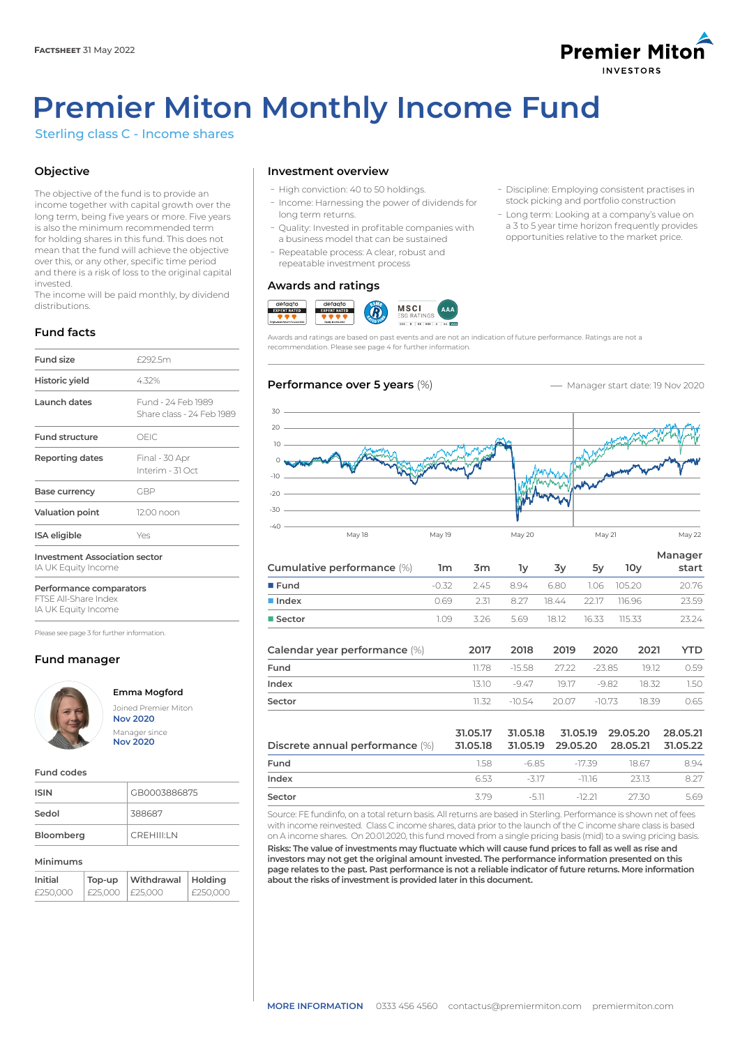

- Discipline: Employing consistent practises in stock picking and portfolio construction - Long term: Looking at a company's value on a 3 to 5 year time horizon frequently provides opportunities relative to the market price.

# **Premier Miton Monthly Income Fund**

Sterling class C - Income shares

# **Objective**

The objective of the fund is to provide an income together with capital growth over the long term, being five years or more. Five years is also the minimum recommended term for holding shares in this fund. This does not mean that the fund will achieve the objective over this, or any other, specific time period and there is a risk of loss to the original capital invested.

The income will be paid monthly, by dividend distributions.

# **Fund facts**

| Fund size                                                   | £292.5m                                         |  |  |
|-------------------------------------------------------------|-------------------------------------------------|--|--|
| Historic yield                                              | 4.32%                                           |  |  |
| Launch dates                                                | Fund - 24 Feb 1989<br>Share class - 24 Feb 1989 |  |  |
| <b>Fund structure</b>                                       | OFIC.                                           |  |  |
| Reporting dates                                             | Final - 30 Apr<br>Interim - 31 Oct              |  |  |
| Base currency                                               | GBP                                             |  |  |
| <b>Valuation point</b>                                      | 12:00 noon                                      |  |  |
| ISA eligible                                                | Yes                                             |  |  |
| <b>Investment Association sector</b><br>IA UK Equity Income |                                                 |  |  |

**Performance comparators** FTSE All-Share Index

IA UK Equity Income

Please see page 3 for further information.

# **Fund manager**



**Emma Mogford** Joined Premier Miton **Nov 2020** Manager since **Nov 2020**

#### **Fund codes**

| <b>ISIN</b> | GB0003886875       |
|-------------|--------------------|
| Sedol       | 388687             |
| Bloomberg   | <b>CREHIII'I N</b> |

## **Minimums**

| Initial  | Top-up  | Withdrawal | Holdina    |
|----------|---------|------------|------------|
| £250.000 | £25.000 | I £25.000  | l £250.000 |

# **Investment overview**

- ܥHigh conviction: 40 to 50 holdings.
- Income: Harnessing the power of dividends for long term returns.
- ܥQuality: Invested in profitable companies with a business model that can be sustained
- Repeatable process: A clear, robust and repeatable investment process

# **Awards and ratings**



Awards and ratings are based on past events and are not an indication of future performance. Ratings are not a recommendation. Please see page 4 for further information.

# **Performance over 5 years (%) -** Manager start date: 19 Nov 2020



| Cumulative performance (%)    | 1 <sub>m</sub> | 3m    | lу       | 3y    | 5y       | 10v    | Manager<br>start |
|-------------------------------|----------------|-------|----------|-------|----------|--------|------------------|
| $I$ Fund                      | $-0.32$        | 2.45  | 8.94     | 6.80  | 1.06     | 105.20 | 20.76            |
| lndex                         | 0.69           | 2.31  | 8.27     | 18.44 | 22.17    | 116.96 | 23.59            |
| ■ Sector                      | 1.09           | 3.26  | 5.69     | 18.12 | 16.33    | 115.33 | 23.24            |
| Calendar year performance (%) |                | 2017  | 2018     | 2019  | 2020     | 2021   | YTD              |
| Fund                          |                | 11.78 | $-15.58$ | 27.22 | $-23.85$ |        | 0.59<br>19.12    |

| Sector                          | 11.32                | -10.54   | 20.07                         | 18.39<br>$-10.73$    | 0.65                 |
|---------------------------------|----------------------|----------|-------------------------------|----------------------|----------------------|
| Discrete annual performance (%) | 31.05.17<br>31.05.18 | 31.05.18 | 31.05.19<br>31.05.19 29.05.20 | 29.05.20<br>28.05.21 | 28.05.21<br>31.05.22 |
| Fund                            | 1.58                 | $-6.85$  | -17.39                        | 18.67                | 8.94                 |
| Index                           | 6.53                 | -317     | -11.16                        | 2313                 | 8.27                 |
| Sector                          | 379                  | -511     | -12.21                        | 27.30                | 569                  |

**Index** 13.10 –9.47 19.17 –9.82 18.32 1.50

Source: FE fundinfo, on a total return basis. All returns are based in Sterling. Performance is shown net of fees with income reinvested. Class C income shares, data prior to the launch of the C income share class is based on A income shares. On 20.01.2020, this fund moved from a single pricing basis (mid) to a swing pricing basis.

**Risks: The value of investments may fluctuate which will cause fund prices to fall as well as rise and investors may not get the original amount invested. The performance information presented on this page relates to the past. Past performance is not a reliable indicator of future returns. More information about the risks of investment is provided later in this document.**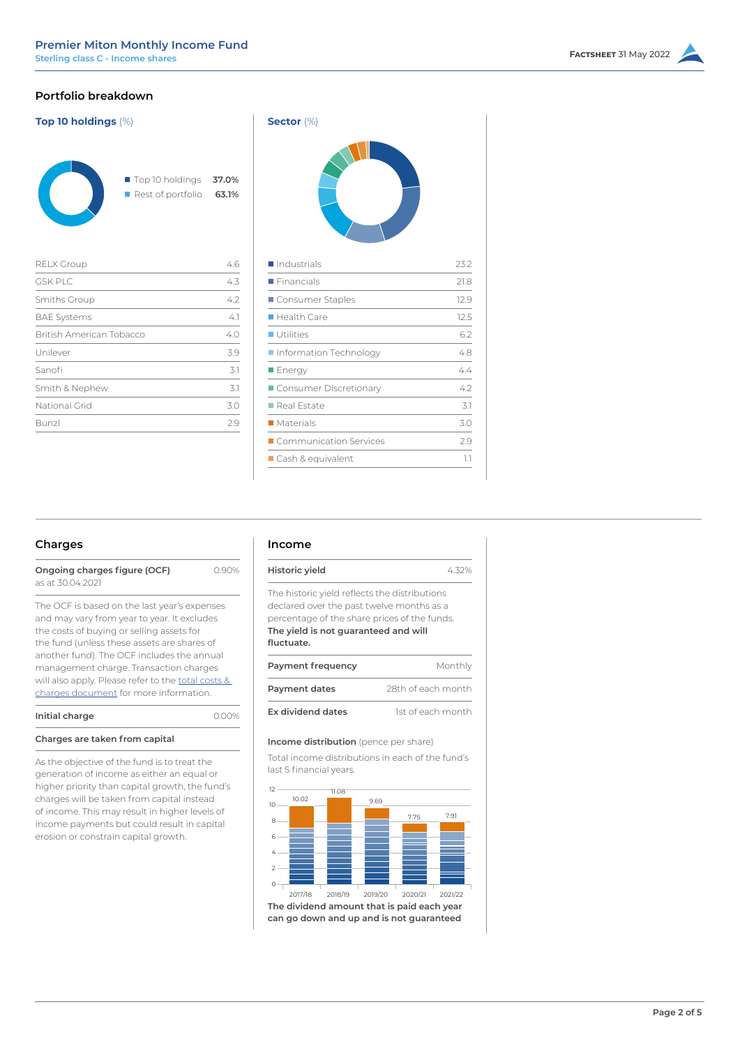# **Portfolio breakdown**

| <b>Top 10 holdings (%)</b>      | Sector $(\%)$                        |                |                        |
|---------------------------------|--------------------------------------|----------------|------------------------|
|                                 | Top 10 holdings<br>Rest of portfolio | 37.0%<br>63.1% |                        |
| <b>RELX Group</b>               |                                      | 4.6            | Industrial             |
| GSK PLC                         |                                      | 4.3            | Financials             |
| Smiths Group                    |                                      | 4.2            | $\blacksquare$ Consume |
| <b>BAE Systems</b>              |                                      | 4.1            | Health Ca              |
| <b>British American Tobacco</b> |                                      | 4.0            | Utilities              |
| Unilever                        |                                      | 3.9            | Information            |
| Sanofi                          |                                      | 3.1            | $\blacksquare$ Energy  |
| Smith & Nephew                  |                                      | 3.1            | $\blacksquare$ Consume |
| National Grid                   |                                      | 3.0            | Real Estat             |
|                                 |                                      |                |                        |

Bunzl 2.9

| $3e$ CLUI $(70)$         |      |
|--------------------------|------|
|                          |      |
| Industrials              | 23.2 |
| Financials               | 21.8 |
| Consumer Staples         | 12.9 |
| Health Care              | 12.5 |
| <b>Utilities</b>         | 6.2  |
| Information Technology   | 4.8  |
| <b>Energy</b>            | 4.4  |
| Consumer Discretionary   | 4.2  |
| Real Estate              | 3.1  |
| $\blacksquare$ Materials | 3.0  |
| Communication Services   | 2.9  |
| Cash & equivalent        | 1.1  |
|                          |      |

# **Charges**

| Ongoing charges figure (OCF) | 0.90% |
|------------------------------|-------|
| as at 30.04.2021             |       |

The OCF is based on the last year's expenses and may vary from year to year. It excludes the costs of buying or selling assets for the fund (unless these assets are shares of another fund). The OCF includes the annual management charge. Transaction charges will also apply. Please refer to the total costs & [charges document](https://corporate-premiermiton.huguenots.co.uk///srp///documents-id///cc3181fa-6363-43b1-9473-69468f7d177b///Totalcostsandcharges.pdf) for more information.

| Initial charge                 | 0.00% |
|--------------------------------|-------|
| Charges are taken from capital |       |

As the objective of the fund is to treat the generation of income as either an equal or higher priority than capital growth, the fund's charges will be taken from capital instead of income. This may result in higher levels of income payments but could result in capital erosion or constrain capital growth.

### **Income**

|                                                                                                                                                                                                  | 4.32%              |
|--------------------------------------------------------------------------------------------------------------------------------------------------------------------------------------------------|--------------------|
| Historic yield                                                                                                                                                                                   |                    |
| The historic yield reflects the distributions<br>declared over the past twelve months as a<br>percentage of the share prices of the funds.<br>The yield is not guaranteed and will<br>fluctuate. |                    |
| Payment frequency                                                                                                                                                                                | Monthly            |
| <b>Payment dates</b>                                                                                                                                                                             | 28th of each month |
| <b>Ex dividend dates</b>                                                                                                                                                                         |                    |

#### **Income distribution** (pence per share)

Total income distributions in each of the fund's last 5 financial years.

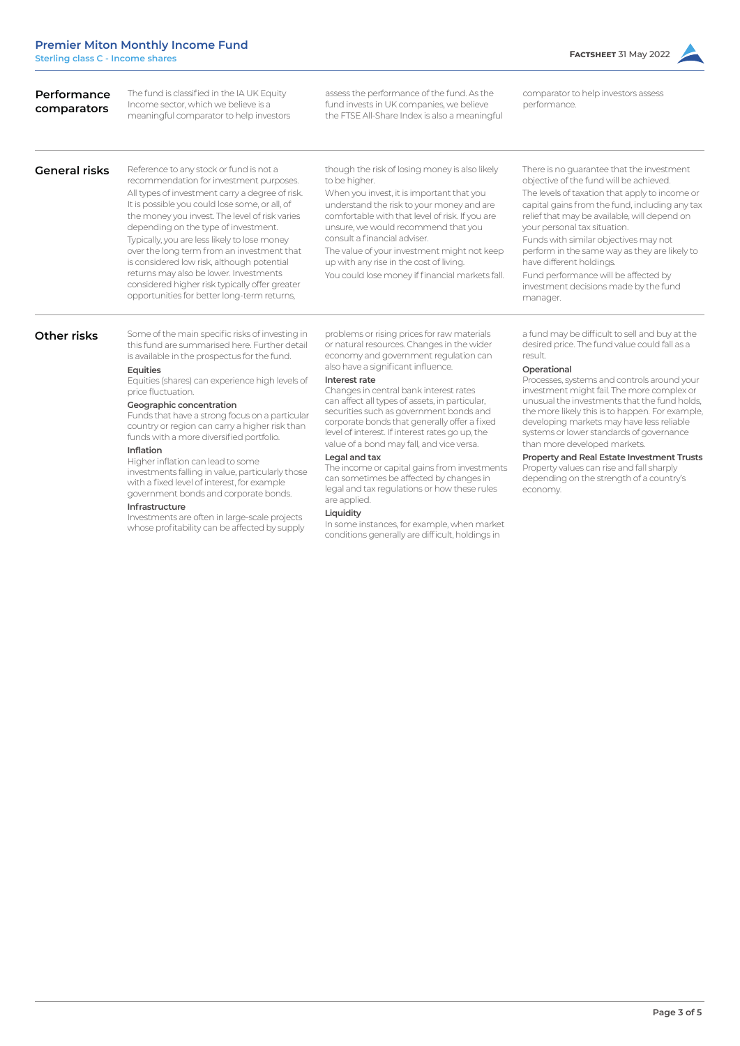| Performance<br>comparators | The fund is classified in the IA UK Equity<br>Income sector, which we believe is a<br>meaningful comparator to help investors                                                                                                                                                                                                                                                                                                                                                                                                                                                                                                                                                                                                       | assess the performance of the fund. As the<br>fund invests in UK companies, we believe<br>the FTSE All-Share Index is also a meaningful                                                                                                                                                                                                                                                                                                                                                                                                                                                                                                                                                                                                                                     | comparator to help investors assess<br>performance.                                                                                                                                                                                                                                                                                                                                                                                                                                                                                                                                                   |
|----------------------------|-------------------------------------------------------------------------------------------------------------------------------------------------------------------------------------------------------------------------------------------------------------------------------------------------------------------------------------------------------------------------------------------------------------------------------------------------------------------------------------------------------------------------------------------------------------------------------------------------------------------------------------------------------------------------------------------------------------------------------------|-----------------------------------------------------------------------------------------------------------------------------------------------------------------------------------------------------------------------------------------------------------------------------------------------------------------------------------------------------------------------------------------------------------------------------------------------------------------------------------------------------------------------------------------------------------------------------------------------------------------------------------------------------------------------------------------------------------------------------------------------------------------------------|-------------------------------------------------------------------------------------------------------------------------------------------------------------------------------------------------------------------------------------------------------------------------------------------------------------------------------------------------------------------------------------------------------------------------------------------------------------------------------------------------------------------------------------------------------------------------------------------------------|
| <b>General risks</b>       | Reference to any stock or fund is not a<br>recommendation for investment purposes.<br>All types of investment carry a degree of risk.<br>It is possible you could lose some, or all, of<br>the money you invest. The level of risk varies<br>depending on the type of investment.<br>Typically, you are less likely to lose money<br>over the long term from an investment that<br>is considered low risk, although potential<br>returns may also be lower. Investments<br>considered higher risk typically offer greater<br>opportunities for better long-term returns,                                                                                                                                                            | though the risk of losing money is also likely<br>to be higher.<br>When you invest, it is important that you<br>understand the risk to your money and are<br>comfortable with that level of risk. If you are<br>unsure, we would recommend that you<br>consult a financial adviser.<br>The value of your investment might not keep<br>up with any rise in the cost of living.<br>You could lose money if financial markets fall.                                                                                                                                                                                                                                                                                                                                            | There is no guarantee that the investment<br>objective of the fund will be achieved.<br>The levels of taxation that apply to income or<br>capital gains from the fund, including any tax<br>relief that may be available, will depend on<br>your personal tax situation.<br>Funds with similar objectives may not<br>perform in the same way as they are likely to<br>have different holdings.<br>Fund performance will be affected by<br>investment decisions made by the fund<br>manager.                                                                                                           |
| Other risks                | Some of the main specific risks of investing in<br>this fund are summarised here. Further detail<br>is available in the prospectus for the fund.<br>Equities<br>Equities (shares) can experience high levels of<br>price fluctuation.<br>Geographic concentration<br>Funds that have a strong focus on a particular<br>country or region can carry a higher risk than<br>funds with a more diversified portfolio.<br>Inflation<br>Higher inflation can lead to some<br>investments falling in value, particularly those<br>with a fixed level of interest, for example<br>government bonds and corporate bonds.<br>Infrastructure<br>Investments are often in large-scale projects<br>whose profitability can be affected by supply | problems or rising prices for raw materials<br>or natural resources. Changes in the wider<br>economy and government regulation can<br>also have a significant influence.<br>Interest rate<br>Changes in central bank interest rates<br>can affect all types of assets, in particular,<br>securities such as government bonds and<br>corporate bonds that generally offer a fixed<br>level of interest. If interest rates go up, the<br>value of a bond may fall, and vice versa.<br>Legal and tax<br>The income or capital gains from investments<br>can sometimes be affected by changes in<br>legal and tax regulations or how these rules<br>are applied.<br>Liquidity<br>In some instances, for example, when market<br>conditions generally are difficult, holdings in | a fund may be difficult to sell and buy at the<br>desired price. The fund value could fall as a<br>result.<br>Operational<br>Processes, systems and controls around your<br>investment might fail. The more complex or<br>unusual the investments that the fund holds.<br>the more likely this is to happen. For example,<br>developing markets may have less reliable<br>systems or lower standards of governance<br>than more developed markets.<br>Property and Real Estate Investment Trusts<br>Property values can rise and fall sharply<br>depending on the strength of a country's<br>economy. |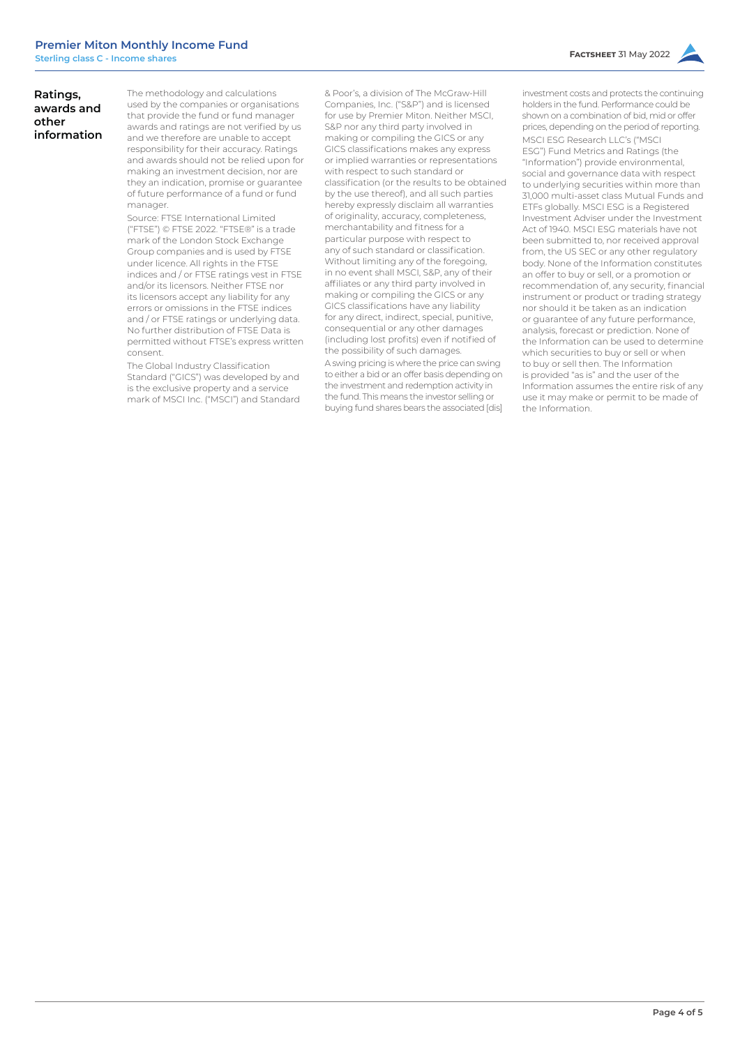# **Ratings, awards and other information**

The methodology and calculations used by the companies or organisations that provide the fund or fund manager awards and ratings are not verified by us and we therefore are unable to accept responsibility for their accuracy. Ratings and awards should not be relied upon for making an investment decision, nor are they an indication, promise or guarantee of future performance of a fund or fund manager.

Source: FTSE International Limited ("FTSE") © FTSE 2022. "FTSE®" is a trade mark of the London Stock Exchange Group companies and is used by FTSE under licence. All rights in the FTSE indices and / or FTSE ratings vest in FTSE and/or its licensors. Neither FTSE nor its licensors accept any liability for any errors or omissions in the FTSE indices and / or FTSE ratings or underlying data. No further distribution of FTSE Data is permitted without FTSE's express written consent.

The Global Industry Classification Standard ("GICS") was developed by and is the exclusive property and a service mark of MSCI Inc. ("MSCI") and Standard

& Poor's, a division of The McGraw-Hill Companies, Inc. ("S&P") and is licensed for use by Premier Miton. Neither MSCI, S&P nor any third party involved in making or compiling the GICS or any GICS classifications makes any express or implied warranties or representations with respect to such standard or classification (or the results to be obtained by the use thereof), and all such parties hereby expressly disclaim all warranties of originality, accuracy, completeness, merchantability and fitness for a particular purpose with respect to any of such standard or classification. Without limiting any of the foregoing, in no event shall MSCI, S&P, any of their affiliates or any third party involved in making or compiling the GICS or any GICS classifications have any liability for any direct, indirect, special, punitive, consequential or any other damages (including lost profits) even if notified of the possibility of such damages.

A swing pricing is where the price can swing to either a bid or an offer basis depending on the investment and redemption activity in the fund. This means the investor selling or buying fund shares bears the associated [dis] investment costs and protects the continuing holders in the fund. Performance could be

shown on a combination of bid, mid or offer prices, depending on the period of reporting. MSCI ESG Research LLC's ("MSCI ESG") Fund Metrics and Ratings (the "Information") provide environmental, social and governance data with respect to underlying securities within more than 31,000 multi-asset class Mutual Funds and ETFs globally. MSCI ESG is a Registered Investment Adviser under the Investment Act of 1940. MSCI ESG materials have not been submitted to, nor received approval from, the US SEC or any other regulatory body. None of the Information constitutes an offer to buy or sell, or a promotion or recommendation of, any security, financial instrument or product or trading strategy nor should it be taken as an indication or guarantee of any future performance, analysis, forecast or prediction. None of the Information can be used to determine which securities to buy or sell or when to buy or sell then. The Information is provided "as is" and the user of the Information assumes the entire risk of any use it may make or permit to be made of the Information.